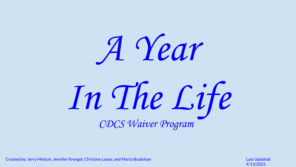

In The Life CDCS Waiver Program

Created by: Jerry Mellum, Jennifer Krengel, Christine Loose, and Marta Bradshaw Last Updated: Last Updated:

9/13/2021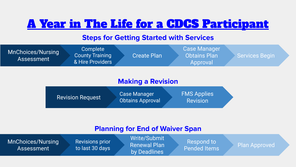## A Year in The Life for a CDCS Participant

### **Steps for Getting Started with Services**

| <b>MnChoices/Nursing</b><br>Assessment | Complete<br><b>County Training</b><br>& Hire Providers | <b>Create Plan</b> | <b>Case Manager</b><br><b>Obtains Plan</b><br>Approval | <b>Services Begin</b> |  |
|----------------------------------------|--------------------------------------------------------|--------------------|--------------------------------------------------------|-----------------------|--|
|                                        |                                                        |                    |                                                        |                       |  |

### **Making a Revision**

| <b>Revision Request</b> | <b>Case Manager</b><br><b>Obtains Approval</b> | <b>FMS Applies</b><br>Revision |  |
|-------------------------|------------------------------------------------|--------------------------------|--|
|-------------------------|------------------------------------------------|--------------------------------|--|

### **Planning for End of Waiver Span**

| MnChoices/Nursing<br>Assessment | <b>Revisions prior</b><br>to last 30 days | Write/Submit<br><b>Renewal Plan</b><br>by Deadlines | Respond to<br><b>Pended Items</b> | Plan Approved |  |
|---------------------------------|-------------------------------------------|-----------------------------------------------------|-----------------------------------|---------------|--|
|                                 |                                           |                                                     |                                   |               |  |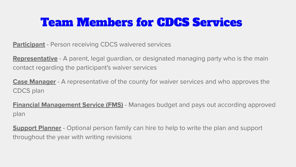## Team Members for CDCS Services

**Participant** - Person receiving CDCS waivered services

**Representative** - A parent, legal guardian, or designated managing party who is the main contact regarding the participant's waiver services

**Case Manager** - A representative of the county for waiver services and who approves the CDCS plan

**Financial Management Service (FMS)** - Manages budget and pays out according approved plan

**Support Planner** - Optional person family can hire to help to write the plan and support throughout the year with writing revisions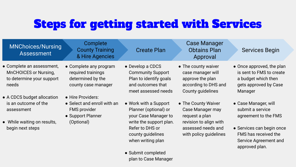# Steps for getting started with Services

| <b>MNChoices/Nursing</b><br><b>Assessment</b>                                                                       | Complete<br><b>County Training</b><br>& Hire Agencies                                                      | <b>Create Plan</b>                                                                                                                                             | <b>Case Manager</b><br><b>Obtains Plan</b><br>Approval                                                                              | <b>Services Begin</b>                                                                                                                                            |
|---------------------------------------------------------------------------------------------------------------------|------------------------------------------------------------------------------------------------------------|----------------------------------------------------------------------------------------------------------------------------------------------------------------|-------------------------------------------------------------------------------------------------------------------------------------|------------------------------------------------------------------------------------------------------------------------------------------------------------------|
| • Complete an assessment,<br>MnCHOICES or Nursing,<br>to determine your support<br>needs                            | • Complete any program<br>required trainings<br>determined by the<br>county case manager                   | • Develop a CDCS<br><b>Community Support</b><br>Plan to identify goals<br>and outcomes that<br>meet assessed needs                                             | • The county waiver<br>case manager will<br>approve the plan<br>according to DHS and<br>County guidelines                           | • Once approved, the plan<br>is sent to FMS to create<br>a budget which then<br>gets approved by Case<br>Manager                                                 |
| • A CDCS budget allocation<br>is an outcome of the<br>assessment<br>• While waiting on results,<br>begin next steps | • Hire Providers:<br>• Select and enroll with an<br><b>FMS provider</b><br>• Support Planner<br>(Optional) | • Work with a Support<br>Planner (optional) or<br>your Case Manager to<br>write the support plan.<br>Refer to DHS or<br>county guidelines<br>when writing plan | • The County Waiver<br>Case Manager may<br>request a plan<br>revision to align with<br>assessed needs and<br>with policy guidelines | • Case Manager, will<br>submit a service<br>agreement to the FMS<br>• Services can begin once<br>FMS has received the<br>Service Agreement and<br>approved plan. |
|                                                                                                                     |                                                                                                            | • Submit completed                                                                                                                                             |                                                                                                                                     |                                                                                                                                                                  |

plan to Case Manager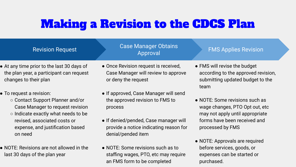## Making a Revision to the CDCS Plan

| <b>Revision Request</b>                                                                                                                                                                                                | <b>Case Manager Obtains</b><br>Approval                                                                                                                                                      | <b>FMS Applies Revision</b>                                                                                                                             |
|------------------------------------------------------------------------------------------------------------------------------------------------------------------------------------------------------------------------|----------------------------------------------------------------------------------------------------------------------------------------------------------------------------------------------|---------------------------------------------------------------------------------------------------------------------------------------------------------|
| • At any time prior to the last 30 days of<br>the plan year, a participant can request<br>changes to their plan                                                                                                        | • Once Revision request is received,<br>Case Manager will review to approve<br>or deny the request                                                                                           | • FMS will revise the budget<br>according to the approved revision,<br>submitting updated budget to the<br>team                                         |
| • To request a revision:<br>○ Contact Support Planner and/or<br>Case Manager to request revision<br>o Indicate exactly what needs to be<br>revised, associated costs or<br>expense, and justification based<br>on need | • If approved, Case Manager will send<br>the approved revision to FMS to<br>process<br>• If denied/pended, Case manager will<br>provide a notice indicating reason for<br>denial/pended item | • NOTE: Some revisions such as<br>wage changes, PTO Opt out, etc<br>may not apply until appropriate<br>forms have been received and<br>processed by FMS |
| • NOTE: Revisions are not allowed in the                                                                                                                                                                               | • NOTE: Some revisions such as to                                                                                                                                                            | • NOTE: Approvals are required<br>before services, goods, or                                                                                            |

last 30 days of the plan year

● NOTE: Some revisions such as to staffing wages, PTO, etc may require an FMS form to be completed

expenses can be started or

purchased.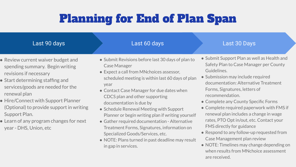# Planning for End of Plan Span

### Last 90 days

### Last 60 days

#### Last 30 Days

- Review current waiver budget and spending summary. Begin writing revisions if necessary
- Start determining staffing and services/goods are needed for the renewal plan
- Hire/Connect with Support Planner (Optional) to provide support in writing Support Plan.
- Learn of any program changes for next year - DHS, Union, etc
- Submit Revisions before last 30 days of plan to Case Manager
- Expect a call from MNchoices assessor, scheduled meeting is within last 60 days of plan year
- Contact Case Manager for due dates when CDCS plan and other supporting documentation is due by
- Schedule Renewal Meeting with Support Planner or begin writing plan if writing yourself
- Gather required documentation Alternative Treatment Forms, Signatures, information on Specialized Goods/Services, etc.
- NOTE: Plans turned in past deadline may result in gap in services.
- Submit Support Plan as well as Health and Safety Plan to Case Manager per County Guidelines.
- Submission may include required documentation: Alternative Treatment Forms, Signatures, letters of recommendation.
- Complete any County Specific Forms
- Complete required paperwork with FMS if renewal plan includes a change in wage rates, PTO Opt in/out, etc. Contact your FMS directly for guidance
- Respond to any follow-up requested from Case Management plan review
- NOTE: Timelines may change depending on when results from MNchoice assessment are received.